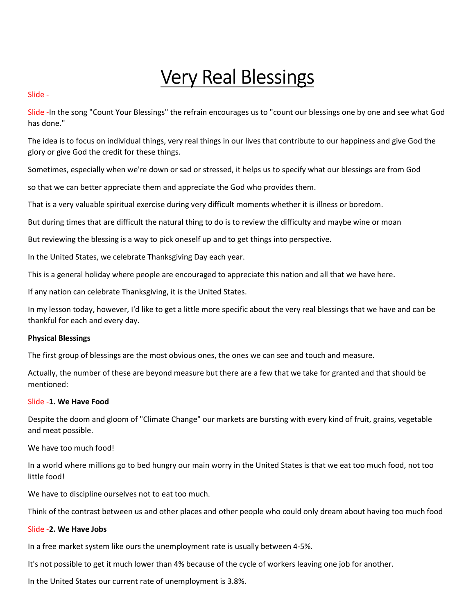# Very Real Blessings

#### Slide -

Slide -In the song "Count Your Blessings" the refrain encourages us to "count our blessings one by one and see what God has done."

The idea is to focus on individual things, very real things in our lives that contribute to our happiness and give God the glory or give God the credit for these things.

Sometimes, especially when we're down or sad or stressed, it helps us to specify what our blessings are from God

so that we can better appreciate them and appreciate the God who provides them.

That is a very valuable spiritual exercise during very difficult moments whether it is illness or boredom.

But during times that are difficult the natural thing to do is to review the difficulty and maybe wine or moan

But reviewing the blessing is a way to pick oneself up and to get things into perspective.

In the United States, we celebrate Thanksgiving Day each year.

This is a general holiday where people are encouraged to appreciate this nation and all that we have here.

If any nation can celebrate Thanksgiving, it is the United States.

In my lesson today, however, I'd like to get a little more specific about the very real blessings that we have and can be thankful for each and every day.

#### Physical Blessings

The first group of blessings are the most obvious ones, the ones we can see and touch and measure.

Actually, the number of these are beyond measure but there are a few that we take for granted and that should be mentioned:

#### Slide -1. We Have Food

Despite the doom and gloom of "Climate Change" our markets are bursting with every kind of fruit, grains, vegetable and meat possible.

We have too much food!

In a world where millions go to bed hungry our main worry in the United States is that we eat too much food, not too little food!

We have to discipline ourselves not to eat too much.

Think of the contrast between us and other places and other people who could only dream about having too much food

#### Slide -2. We Have Jobs

In a free market system like ours the unemployment rate is usually between 4-5%.

It's not possible to get it much lower than 4% because of the cycle of workers leaving one job for another.

In the United States our current rate of unemployment is 3.8%.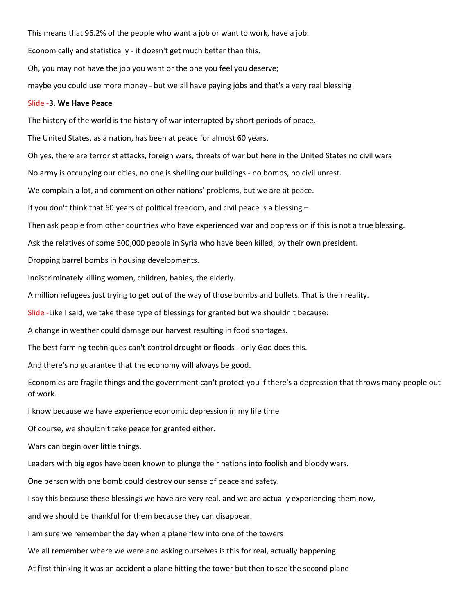This means that 96.2% of the people who want a job or want to work, have a job.

Economically and statistically - it doesn't get much better than this.

Oh, you may not have the job you want or the one you feel you deserve;

maybe you could use more money - but we all have paying jobs and that's a very real blessing!

#### Slide -3. We Have Peace

The history of the world is the history of war interrupted by short periods of peace.

The United States, as a nation, has been at peace for almost 60 years.

Oh yes, there are terrorist attacks, foreign wars, threats of war but here in the United States no civil wars

No army is occupying our cities, no one is shelling our buildings - no bombs, no civil unrest.

We complain a lot, and comment on other nations' problems, but we are at peace.

If you don't think that 60 years of political freedom, and civil peace is a blessing –

Then ask people from other countries who have experienced war and oppression if this is not a true blessing.

Ask the relatives of some 500,000 people in Syria who have been killed, by their own president.

Dropping barrel bombs in housing developments.

Indiscriminately killing women, children, babies, the elderly.

A million refugees just trying to get out of the way of those bombs and bullets. That is their reality.

Slide -Like I said, we take these type of blessings for granted but we shouldn't because:

A change in weather could damage our harvest resulting in food shortages.

The best farming techniques can't control drought or floods - only God does this.

And there's no guarantee that the economy will always be good.

Economies are fragile things and the government can't protect you if there's a depression that throws many people out of work.

I know because we have experience economic depression in my life time

Of course, we shouldn't take peace for granted either.

Wars can begin over little things.

Leaders with big egos have been known to plunge their nations into foolish and bloody wars.

One person with one bomb could destroy our sense of peace and safety.

I say this because these blessings we have are very real, and we are actually experiencing them now,

and we should be thankful for them because they can disappear.

I am sure we remember the day when a plane flew into one of the towers

We all remember where we were and asking ourselves is this for real, actually happening.

At first thinking it was an accident a plane hitting the tower but then to see the second plane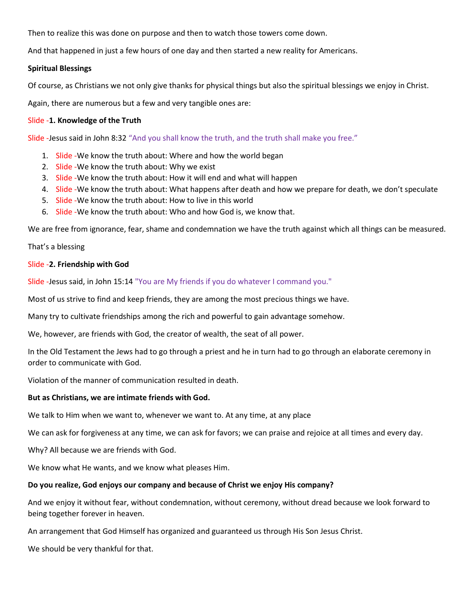Then to realize this was done on purpose and then to watch those towers come down.

And that happened in just a few hours of one day and then started a new reality for Americans.

## Spiritual Blessings

Of course, as Christians we not only give thanks for physical things but also the spiritual blessings we enjoy in Christ.

Again, there are numerous but a few and very tangible ones are:

## Slide -1. Knowledge of the Truth

Slide -Jesus said in John 8:32 "And you shall know the truth, and the truth shall make you free."

- 1. Slide We know the truth about: Where and how the world began
- 2. Slide We know the truth about: Why we exist
- 3. Slide -We know the truth about: How it will end and what will happen
- 4. Slide -We know the truth about: What happens after death and how we prepare for death, we don't speculate
- 5. Slide -We know the truth about: How to live in this world
- 6. Slide -We know the truth about: Who and how God is, we know that.

We are free from ignorance, fear, shame and condemnation we have the truth against which all things can be measured.

That's a blessing

## Slide -2. Friendship with God

Slide -Jesus said, in John 15:14 "You are My friends if you do whatever I command you."

Most of us strive to find and keep friends, they are among the most precious things we have.

Many try to cultivate friendships among the rich and powerful to gain advantage somehow.

We, however, are friends with God, the creator of wealth, the seat of all power.

In the Old Testament the Jews had to go through a priest and he in turn had to go through an elaborate ceremony in order to communicate with God.

Violation of the manner of communication resulted in death.

#### But as Christians, we are intimate friends with God.

We talk to Him when we want to, whenever we want to. At any time, at any place

We can ask for forgiveness at any time, we can ask for favors; we can praise and rejoice at all times and every day.

Why? All because we are friends with God.

We know what He wants, and we know what pleases Him.

# Do you realize, God enjoys our company and because of Christ we enjoy His company?

And we enjoy it without fear, without condemnation, without ceremony, without dread because we look forward to being together forever in heaven.

An arrangement that God Himself has organized and guaranteed us through His Son Jesus Christ.

We should be very thankful for that.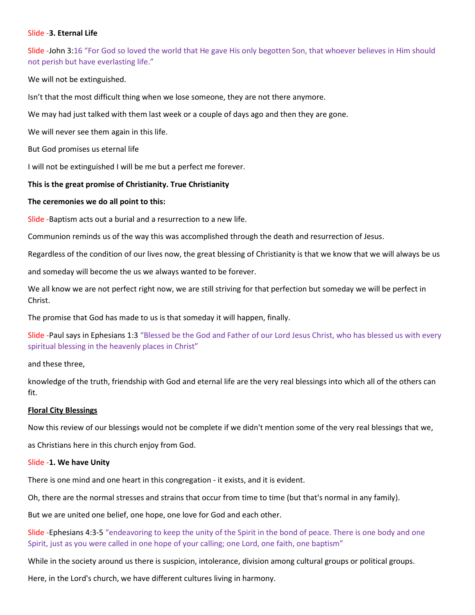#### Slide -3. Eternal Life

Slide -John 3:16 "For God so loved the world that He gave His only begotten Son, that whoever believes in Him should not perish but have everlasting life."

We will not be extinguished.

Isn't that the most difficult thing when we lose someone, they are not there anymore.

We may had just talked with them last week or a couple of days ago and then they are gone.

We will never see them again in this life.

But God promises us eternal life

I will not be extinguished I will be me but a perfect me forever.

#### This is the great promise of Christianity. True Christianity

#### The ceremonies we do all point to this:

Slide -Baptism acts out a burial and a resurrection to a new life.

Communion reminds us of the way this was accomplished through the death and resurrection of Jesus.

Regardless of the condition of our lives now, the great blessing of Christianity is that we know that we will always be us

and someday will become the us we always wanted to be forever.

We all know we are not perfect right now, we are still striving for that perfection but someday we will be perfect in Christ.

The promise that God has made to us is that someday it will happen, finally.

Slide -Paul says in Ephesians 1:3 "Blessed be the God and Father of our Lord Jesus Christ, who has blessed us with every spiritual blessing in the heavenly places in Christ"

and these three,

knowledge of the truth, friendship with God and eternal life are the very real blessings into which all of the others can fit.

#### Floral City Blessings

Now this review of our blessings would not be complete if we didn't mention some of the very real blessings that we,

as Christians here in this church enjoy from God.

#### Slide -1. We have Unity

There is one mind and one heart in this congregation - it exists, and it is evident.

Oh, there are the normal stresses and strains that occur from time to time (but that's normal in any family).

But we are united one belief, one hope, one love for God and each other.

Slide -Ephesians 4:3-5 "endeavoring to keep the unity of the Spirit in the bond of peace. There is one body and one Spirit, just as you were called in one hope of your calling; one Lord, one faith, one baptism"

While in the society around us there is suspicion, intolerance, division among cultural groups or political groups.

Here, in the Lord's church, we have different cultures living in harmony.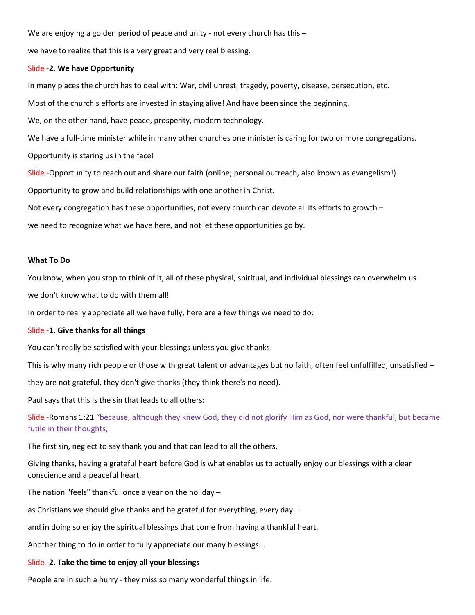We are enjoying a golden period of peace and unity - not every church has this -

we have to realize that this is a very great and very real blessing.

#### Slide -2. We have Opportunity

In many places the church has to deal with: War, civil unrest, tragedy, poverty, disease, persecution, etc.

Most of the church's efforts are invested in staying alive! And have been since the beginning.

We, on the other hand, have peace, prosperity, modern technology.

We have a full-time minister while in many other churches one minister is caring for two or more congregations.

Opportunity is staring us in the face!

Slide -Opportunity to reach out and share our faith (online; personal outreach, also known as evangelism!)

Opportunity to grow and build relationships with one another in Christ.

Not every congregation has these opportunities, not every church can devote all its efforts to growth –

we need to recognize what we have here, and not let these opportunities go by.

#### What To Do

You know, when you stop to think of it, all of these physical, spiritual, and individual blessings can overwhelm us -

we don't know what to do with them all!

In order to really appreciate all we have fully, here are a few things we need to do:

#### Slide -1. Give thanks for all things

You can't really be satisfied with your blessings unless you give thanks.

This is why many rich people or those with great talent or advantages but no faith, often feel unfulfilled, unsatisfied –

they are not grateful, they don't give thanks (they think there's no need).

Paul says that this is the sin that leads to all others:

Slide -Romans 1:21 "because, although they knew God, they did not glorify Him as God, nor were thankful, but became futile in their thoughts,

The first sin, neglect to say thank you and that can lead to all the others.

Giving thanks, having a grateful heart before God is what enables us to actually enjoy our blessings with a clear conscience and a peaceful heart.

The nation "feels" thankful once a year on the holiday –

as Christians we should give thanks and be grateful for everything, every day –

and in doing so enjoy the spiritual blessings that come from having a thankful heart.

Another thing to do in order to fully appreciate our many blessings...

## Slide -2. Take the time to enjoy all your blessings

People are in such a hurry - they miss so many wonderful things in life.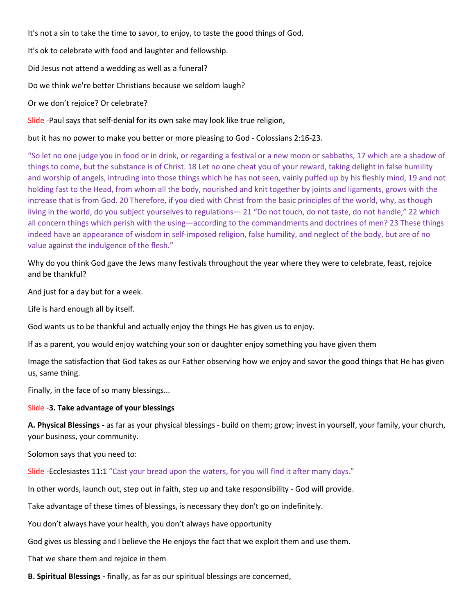It's not a sin to take the time to savor, to enjoy, to taste the good things of God.

It's ok to celebrate with food and laughter and fellowship.

Did Jesus not attend a wedding as well as a funeral?

Do we think we're better Christians because we seldom laugh?

Or we don't rejoice? Or celebrate?

Slide -Paul says that self-denial for its own sake may look like true religion,

but it has no power to make you better or more pleasing to God - Colossians 2:16-23.

"So let no one judge you in food or in drink, or regarding a festival or a new moon or sabbaths, 17 which are a shadow of things to come, but the substance is of Christ. 18 Let no one cheat you of your reward, taking delight in false humility and worship of angels, intruding into those things which he has not seen, vainly puffed up by his fleshly mind, 19 and not holding fast to the Head, from whom all the body, nourished and knit together by joints and ligaments, grows with the increase that is from God. 20 Therefore, if you died with Christ from the basic principles of the world, why, as though living in the world, do you subject yourselves to regulations— 21 "Do not touch, do not taste, do not handle," 22 which all concern things which perish with the using—according to the commandments and doctrines of men? 23 These things indeed have an appearance of wisdom in self-imposed religion, false humility, and neglect of the body, but are of no value against the indulgence of the flesh."

Why do you think God gave the Jews many festivals throughout the year where they were to celebrate, feast, rejoice and be thankful?

And just for a day but for a week.

Life is hard enough all by itself.

God wants us to be thankful and actually enjoy the things He has given us to enjoy.

If as a parent, you would enjoy watching your son or daughter enjoy something you have given them

Image the satisfaction that God takes as our Father observing how we enjoy and savor the good things that He has given us, same thing.

Finally, in the face of so many blessings...

#### Slide -3. Take advantage of your blessings

A. Physical Blessings - as far as your physical blessings - build on them; grow; invest in yourself, your family, your church, your business, your community.

Solomon says that you need to:

Slide -Ecclesiastes 11:1 "Cast your bread upon the waters, for you will find it after many days."

In other words, launch out, step out in faith, step up and take responsibility - God will provide.

Take advantage of these times of blessings, is necessary they don't go on indefinitely.

You don't always have your health, you don't always have opportunity

God gives us blessing and I believe the He enjoys the fact that we exploit them and use them.

That we share them and rejoice in them

B. Spiritual Blessings - finally, as far as our spiritual blessings are concerned,